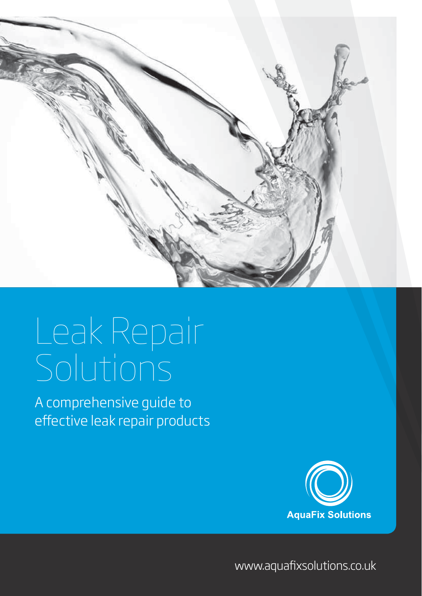

## Leak Repair Solutions

A comprehensive guide to effective leak repair products



www.aquafixsolutions.co.uk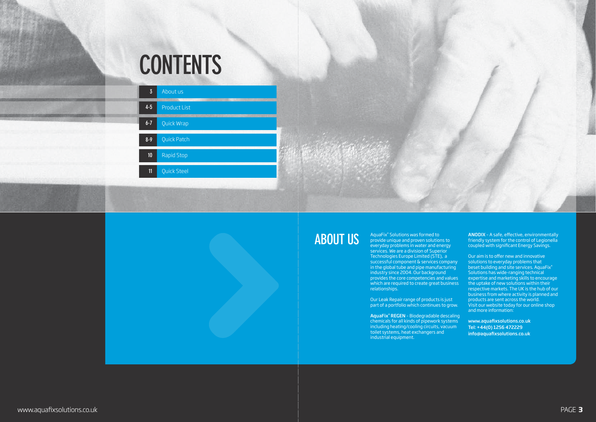# **CONTENTS**



AquaFix® Solutions was formed to provide unique and proven solutions to everyday problems in water and energy services. We are a division of Superior Technologies Europe Limited (STE), a successful component & services company in the global tube and pipe manufacturing industry since 2004. Our background provides the core competencies and values which are required to create great business relationships.

Our Leak Repair range of products is just part of a portfolio which continues to grow.

AquaFix**®** REGEN – Biodegradable descaling chemicals for all kinds of pipework systems including heating/cooling circuits, vacuum toilet systems, heat exchangers and industrial equipment.

ANODIX – A safe, effective, environmentally friendly system for the control of Legionella coupled with significant Energy Savings.

Our aim is to offer new and innovative solutions to everyday problems that beset building and site services. AquaFix® Solutions has wide-ranging technical expertise and marketing skills to encourage the uptake of new solutions within their respective markets. The UK is the hub of our business from where activity is planned and products are sent across the world. Visit our website today for our online shop and more information:

www.aquafixsolutions.co.uk Tel: +44(0) 1256 472229 info@aquafixsolutions.co.uk

### **About us**

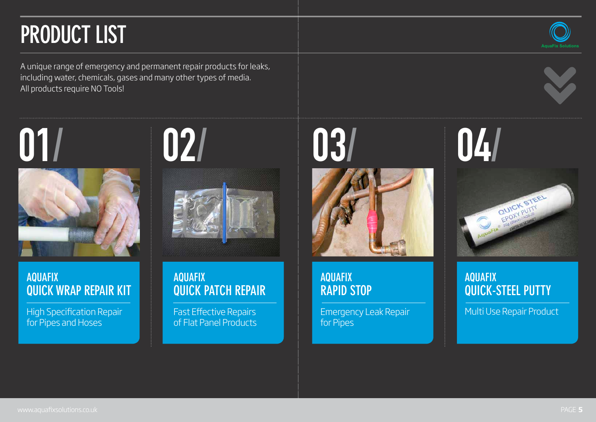A unique range of emergency and permanent repair products for leaks, including water, chemicals, gases and many other types of media. All products require NO Tools!

# **Product List**

### **AquaFix Rapid Stop**

Emergency Leak Repair for Pipes

High Specification Repair for Pipes and Hoses



#### **AquaFix Quick Patch repair**

Fast Effective Repairs of Flat panel products



## **AquaFix Quick-Steel Putty**  Multi Use Repair Product





#### **AquaFix Quick Wrap repair Kit**





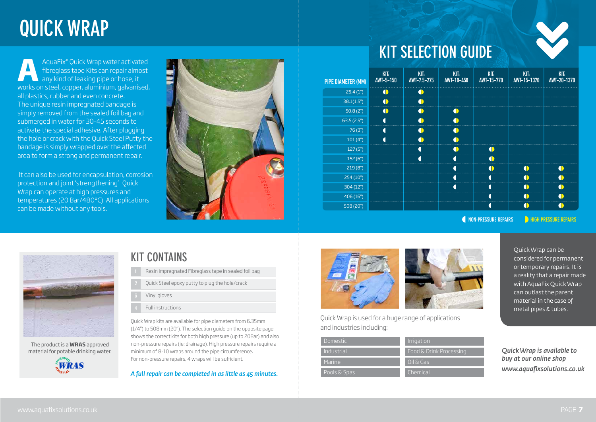## **Quick Wrap**

Quick Wrap kits are available for pipe diameters from 6.35mm (1/4") to 508mm (20"). The selection guide on the opposite page shows the correct kits for both high pressure (up to 20Bar) and also non-pressure repairs (ie: drainage). High pressure repairs require a minimum of 8-10 wraps around the pipe circumference. For non-pressure repairs, 4 wraps will be sufficient.

*A full repair can be completed in as little as 45 minutes.*



Quick Wrap can be



essing

considered for permanent or temporary repairs. It is a reality that a repair made with AquaFix Quick Wrap



*Quick Wrap is available to buy at our online shop www.aquafixsolutions.co.uk*



Quick Wrap is used for a huge range of applications and industries including:

AquaFix® Quick Wrap water activated fibreglass tape Kits can repair almost any kind of leaking pipe or hose, it works on steel, copper, aluminium, galvanised, all plastics, rubber and even concrete. The unique resin impregnated bandage is simply removed from the sealed foil bag and submerged in water for 30-45 seconds to activate the special adhesive. After plugging the hole or crack with the Quick Steel Putty the bandage is simply wrapped over the affected area to form a strong and permanent repair. **A**

It can also be used for encapsulation, corrosion protection and joint 'strengthening'. Quick Wrap can operate at high pressures and temperatures (20 Bar/480°C). All applications can be made without any tools.



|  | <b>KIT SELECTIO</b> |  |
|--|---------------------|--|
|  |                     |  |

## **KIT SUIDE**

**A** NON-PRESSURE REPAIRS **DEPAIRS HIGH PRESSURE REPAIRS** 

- Resin impregnated Fibreglass tape in sealed foil bag
- Quick Steel epoxy putty to plug the hole/crack
- Vinyl gloves
- Full instructions

#### **Kit Contains**



The product is a **WRAS** approved material for potable drinking water.



| <b>PIPE DIAMETER (MM)</b> | KIT:<br><b>AWT-5-150</b> | KIT:<br>AWT-7.5-275 | KIT:<br>AWT-10-450 | KIT:<br>AWT-15-770 | KIT:<br>AWT-15-1370 | KIT:<br>AWT-20-1370 |
|---------------------------|--------------------------|---------------------|--------------------|--------------------|---------------------|---------------------|
| 25.4(1")                  |                          |                     |                    |                    |                     |                     |
| 38.1(1.5")                |                          |                     |                    |                    |                     |                     |
| 50.8(2 <sup>n</sup> )     |                          |                     |                    |                    |                     |                     |
| 63.5(2.5")                |                          |                     |                    |                    |                     |                     |
| 76(3")                    |                          |                     |                    |                    |                     |                     |
| 101(4")                   |                          |                     |                    |                    |                     |                     |
| 127(5")                   |                          |                     |                    |                    |                     |                     |
| 152(6")                   |                          |                     |                    |                    |                     |                     |
| 219(8")                   |                          |                     |                    |                    |                     |                     |
| 254(10")                  |                          |                     |                    |                    |                     |                     |
| 304 (12")                 |                          |                     |                    |                    |                     |                     |
| 406(16")                  |                          |                     |                    |                    |                     |                     |
| 508(20")                  |                          |                     |                    |                    |                     |                     |

| Domestic     | Irrigation           |
|--------------|----------------------|
| Industrial   | Food & Drink Pro     |
| Marine       | <u>l O</u> il & Gas, |
| Pools & Spas | Chemical             |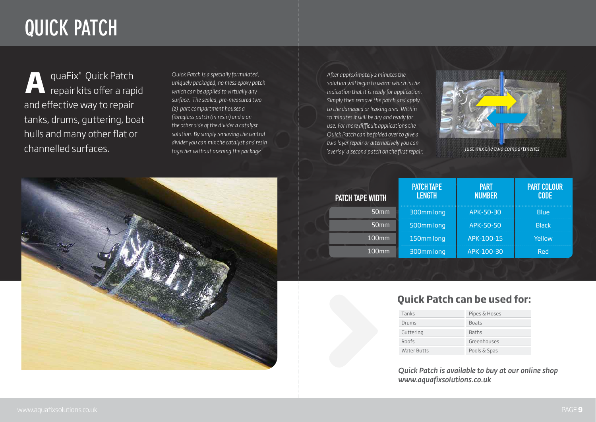## **Quick Patch**

quaFix® Quick Patch Quick Patch repair kits offer a rapid **A** *Quick Patch is a specially formulated,*  and effective way to repair tanks, drums, guttering, boat hulls and many other flat or channelled surfaces.

*uniquely packaged, no mess epoxy patch which can be applied to virtually any surface. The sealed, pre-measured two (2) part compartment houses a fibreglass patch (in resin) and a on the other side of the divider a catalyst solution. By simply removing the central divider you can mix the catalyst and resin together without opening the package.* 

|               | <b>PART</b> |  |  |
|---------------|-------------|--|--|
| <b>NUMBER</b> |             |  |  |

| PATCH TAPE WIDTH | <b>PATCH TAPE</b><br><b>LENGTH</b> | <b>PART</b><br><b>NUMBER</b> | <b>PART COL</b><br><b>CODE</b> |
|------------------|------------------------------------|------------------------------|--------------------------------|
| 50 <sub>mm</sub> | 300mm long                         | APK-50-30                    | <b>Blue</b>                    |
| 50 <sub>mm</sub> | 500mm long                         | APK-50-50                    | <b>Black</b>                   |
| 100mm            | 150mm long                         | APK-100-15                   | Yellow                         |
| <b>100mm</b>     | 300mm long                         | APK-100-30                   | <b>Red</b>                     |



### APK-50-30 APK-50-50

## PART COLOUR<br>CODE

Yellow

#### **Quick Patch can be used for:**

| Tanks              |
|--------------------|
| Drums              |
| Guttering          |
| Roofs              |
| <b>Water Butts</b> |

Pipes & hoses

Boats

Baths

Greenhouses

Pools & Spas

*After approximately 2 minutes the solution will begin to warm which is the indication that it is ready for application. Simply then remove the patch and apply to the damaged or leaking area. Within 10 minutes it will be dry and ready for use. For more difficult applications the Quick Patch can be folded over to give a two layer repair or alternatively you can 'overlay' a second patch on the first repair.*

## *Quick Patch is available to buy at our online shop*

*www.aquafixsolutions.co.uk*



*Just mix the two compartments*

www.aquafixsolutions.co.uk Page **9**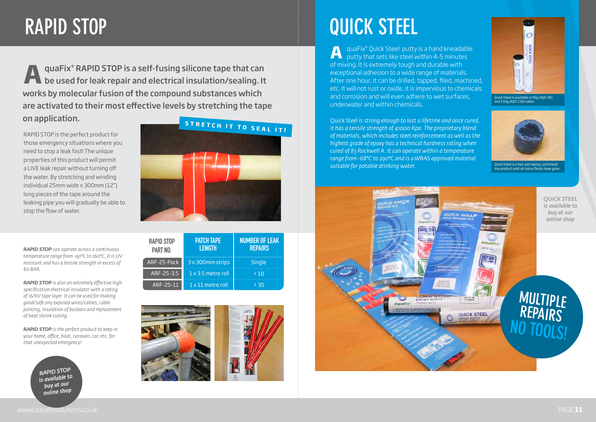## **Rapid Stop**

quaFix® RAPID STOP is a self-fusing silicone tape that can be used for leak repair and electrical insulation/sealing. It works by molecular fusion of the compound substances which are activated to their most effective levels by stretching the tape on application. **A**

RAPID STOP is the perfect product for those emergency situations where you need to stop a leak fast! The unique properties of this product will permit a LIVE leak repair without turning off the water. By stretching and winding individual 25mm wide x 300mm (12") long pieces of the tape around the leaking pipe you will gradually be able to stop the flow of water.

*RAPID STOP can operate across a continuous temperature range from -90°C to 260°C, it is UV resistant and has a tensile strength in excess of 80 BAR.*

*RAPID STOP is also an extremely effective high specification electrical insulator with a rating of 16/KV tape layer. It can be used for making good/safe any exposed wires/cables, cable jointing, insulation of busbars and replacement of heat shrink tubing.* 

*RAPID STOP is the perfect product to keep in your home, office, boat, caravan, car, etc. for that unexpected emergency!*



Quick Steel is a two-part epoxy, just knead .<br>he product until all colour flecks have gone.

| <b>RAPID STOP</b><br><b>PART NO.</b> | <b>PATCH TAPE</b><br><b>LENGTH</b> | <b>NUMBER OF LEAK</b><br><b>REPAIRS</b> |
|--------------------------------------|------------------------------------|-----------------------------------------|
| ARF-25-Pack                          | 3 x 300mm strips                   | Single                                  |
| ARF-25-3.5                           | $1 \times 3.5$ metre roll          | >10                                     |
| ARF-25-11                            | 1 x 11 metre roll                  | > 35                                    |





*RAPID STOP is available to buy at our online shop*

quaFix® Quick Steel putty is a hand kneadable **A** quaFix® Quick Steel putty is a hand kneadable putty that sets like steel within 4-5 minutes of mixing. It is extremely tough and durable with exceptional adhesion to a wide range of materials. After one hour, it can be drilled, tapped, filed, machined, etc. It will not rust or oxide, it is impervious to chemicals and corrosion and will even adhere to wet surfaces, underwater and within chemicals.

*Quick Steel is strong enough to last a lifetime and once cured, it has a tensile strength of 41000 Kpa. The proprietary blend of materials, which includes steel reinforcement as well as the highest grade of epoxy has a technical hardness rating when cured of 83 Rockwell A. It can operate within a temperature range from -68°C to 290°C and is a WRAS approved material suitable for potable drinking water.*



# **Quick Steel**



Quick Steel is available in 55g (AQS-55) and 110g (AQS-110) tubes.